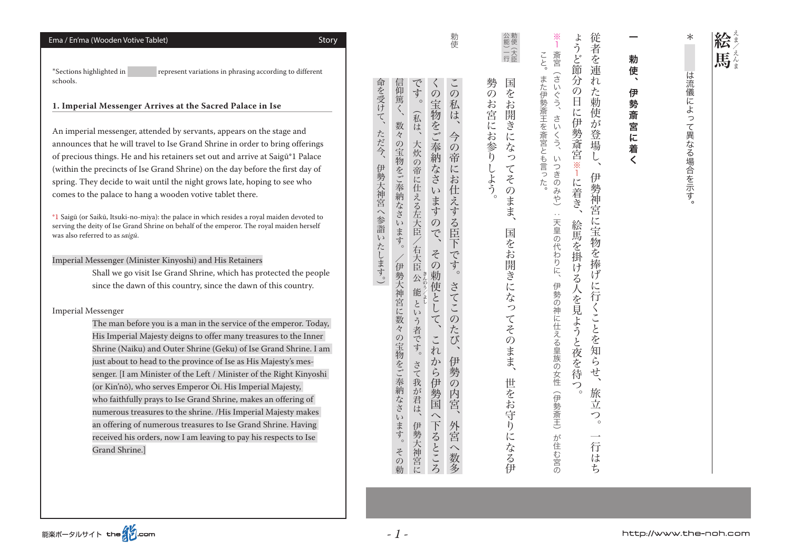| Ema / En'ma (Wooden Votive Tablet)<br>Story                                                                                                                                                                                                                                                                                                                                                                                                                                                                                                                                                                                                                                                                                                                                                                                                                                                                                                                                                                                                                                | 勅使                                                                                                                                                                                                                                                                                                                                                                                                      |                                                            | 従者を連れ<br>よ<br>斎宮<br>こと。                                                                                                                                                       | 勅                              | ∗<br>絵<br>馬        |
|----------------------------------------------------------------------------------------------------------------------------------------------------------------------------------------------------------------------------------------------------------------------------------------------------------------------------------------------------------------------------------------------------------------------------------------------------------------------------------------------------------------------------------------------------------------------------------------------------------------------------------------------------------------------------------------------------------------------------------------------------------------------------------------------------------------------------------------------------------------------------------------------------------------------------------------------------------------------------------------------------------------------------------------------------------------------------|---------------------------------------------------------------------------------------------------------------------------------------------------------------------------------------------------------------------------------------------------------------------------------------------------------------------------------------------------------------------------------------------------------|------------------------------------------------------------|-------------------------------------------------------------------------------------------------------------------------------------------------------------------------------|--------------------------------|--------------------|
| *Sections highlighted in<br>represent variations in phrasing according to different<br>schools.                                                                                                                                                                                                                                                                                                                                                                                                                                                                                                                                                                                                                                                                                                                                                                                                                                                                                                                                                                            | $\tilde{\phantom{a}}$<br>です<br>$\mathcal{O}$                                                                                                                                                                                                                                                                                                                                                            | 勢の<br>国をお                                                  | うど節分の<br><b>Fat</b>                                                                                                                                                           | 使<br>$\blacktriangledown$<br>伊 | は                  |
| 1. Imperial Messenger Arrives at the Sacred Palace in Ise<br>An imperial messenger, attended by servants, appears on the stage and<br>announces that he will travel to Ise Grand Shrine in order to bring offerings<br>of precious things. He and his retainers set out and arrive at Saigū*1 Palace<br>(within the precincts of Ise Grand Shrine) on the day before the first day of<br>spring. They decide to wait until the night grows late, hoping to see who<br>comes to the palace to hang a wooden votive tablet there.<br>*1 Saigū (or Saikū, Itsuki-no-miya): the palace in which resides a royal maiden devoted to                                                                                                                                                                                                                                                                                                                                                                                                                                              | 命を受けて、<br>信仰篤く、<br>の宝物をご奉納なさいます<br>$^{\circ}$<br>私は<br>(私は、<br>数々<br>ただ今、<br>今の帝に<br>の宝物をご奉納なさ<br>大炊の帝に仕える左大臣<br>伊勢大神宮へ参詣いたします。<br>お仕えする臣<br>$\zeta$                                                                                                                                                                                                                                                    | お宮にお参り<br>開<br>ぎに<br>な<br>つ<br>$\tau$<br>しよう。<br>z<br>のまま、 | また伊勢斎王を斎宮とも言った。<br>た勅使が<br>くう、<br>$\mathbf{H}$<br>に伊<br>さいくう、<br>勢斎宮※<br>。登場<br>$\mathcal{L}\setminus$<br>つきのみや)<br>1<br>伊<br>に着き、<br>$\epsilon$ .                            | 勢<br>斎宮に<br>着<br>$\checkmark$  | 流儀によっ<br>て異なる場合を示す |
| serving the deity of Ise Grand Shrine on behalf of the emperor. The royal maiden herself<br>was also referred to as saigū.<br>Imperial Messenger (Minister Kinyoshi) and His Retainers<br>Shall we go visit Ise Grand Shrine, which has protected the people<br>since the dawn of this country, since the dawn of this country.<br><b>Imperial Messenger</b><br>The man before you is a man in the service of the emperor. Today,<br>His Imperial Majesty deigns to offer many treasures to the Inner<br>Shrine (Naiku) and Outer Shrine (Geku) of Ise Grand Shrine. I am<br>just about to head to the province of Ise as His Majesty's mes-<br>senger. [I am Minister of the Left / Minister of the Right Kinyoshi<br>(or Kin'nō), who serves Emperor Ōi. His Imperial Majesty,<br>who faithfully prays to Ise Grand Shrine, makes an offering of<br>numerous treasures to the shrine. /His Imperial Majesty makes<br>an offering of numerous treasures to Ise Grand Shrine. Having<br>received his orders, now I am leaving to pay his respects to Ise<br>Grand Shrine.] | ので、<br>ます。<br> 下です。<br>右大臣<br>その<br>伊勢大神宮に数<br>勅使とし<br>. 公。<br>能<br>さてこ<br>$\bar{\zeta}$<br>$\zeta$ )<br>$\mathcal{D}$<br>$\tilde{\zeta}$<br>う者です。<br>た<br>$\overline{\mathcal{R}}$<br>の宝物をご奉納なさ<br>$\check{\phantom{a}}$<br>び<br>れ<br>伊<br>か<br>さて我が君は<br>ら<br>勢<br>伊勢国<br>$\mathcal{O}$<br>内宮<br>$\curvearrowright$<br>$\iota$<br>下るところ<br>外宮<br>ます。<br>伊勢大神宮に<br>$\widehat{\phantom{0}}$<br>その<br>数多 | 国をお開きにな<br>つ<br>てそ<br>のまま、<br>世をお守り<br>仁<br>なる伊            | 勢神宮に宝物を捧げ<br>天皇の代わりに、<br>絵馬を掛<br>ける人を見ようと夜を待つ<br>伊勢の神に仕える皇族の女性<br>に行くことを知らせ<br>$\lambda$<br>旅<br>$\circ$<br>(伊勢斎王)<br>立<br>つ<br>$\circ$<br>が住む宮の<br>— <b>.</b><br>行<br>は<br>ち |                                |                    |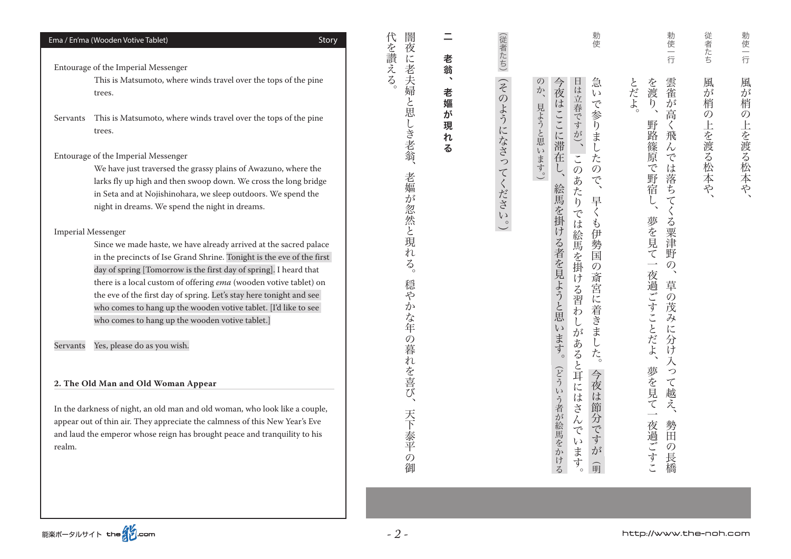|          | Ema / En'ma (Wooden Votive Tablet)<br>Story                                                                                                                                                                                                                                                                                                                                                                                                                                                                                                 | 闇<br>代<br>を讃える                                            |                            | (従者たち)                | 勅使                                                                                                                                                                                     | 勅使一行                                                                                             | 従者たち          | 勅使一行      |
|----------|---------------------------------------------------------------------------------------------------------------------------------------------------------------------------------------------------------------------------------------------------------------------------------------------------------------------------------------------------------------------------------------------------------------------------------------------------------------------------------------------------------------------------------------------|-----------------------------------------------------------|----------------------------|-----------------------|----------------------------------------------------------------------------------------------------------------------------------------------------------------------------------------|--------------------------------------------------------------------------------------------------|---------------|-----------|
|          | Entourage of the Imperial Messenger                                                                                                                                                                                                                                                                                                                                                                                                                                                                                                         |                                                           | 老翁                         |                       |                                                                                                                                                                                        |                                                                                                  |               |           |
|          | This is Matsumoto, where winds travel over the tops of the pine<br>trees.                                                                                                                                                                                                                                                                                                                                                                                                                                                                   | 夜に老夫婦と思                                                   | $\blacktriangleleft$<br>老嫗 | つその                   | 急<br>今<br>$\mathcal{D}$<br>$\overline{\psi}$<br>$\iota$                                                                                                                                | 雲雀<br>とだよ。<br>を渡                                                                                 | 風<br>が<br>梢   | 風が<br>梢   |
| Servants | This is Matsumoto, where winds travel over the tops of the pine<br>trees.                                                                                                                                                                                                                                                                                                                                                                                                                                                                   |                                                           | が<br>現<br>れ                | ようになさっ                | 日は立春ですが)、<br>夜はここに滞在<br>で参<br>$\tilde{b}$<br>ま                                                                                                                                         | $\overline{\rho}$<br>が<br>高<br>野路<br>$\zeta$<br>飛                                                | $\mathcal{O}$ |           |
|          | Entourage of the Imperial Messenger<br>We have just traversed the grassy plains of Awazuno, where the<br>larks fly up high and then swoop down. We cross the long bridge<br>in Seta and at Nojishinohara, we sleep outdoors. We spend the<br>night in dreams. We spend the night in dreams.<br><b>Imperial Messenger</b><br>Since we made haste, we have already arrived at the sacred palace<br>in the precincts of Ise Grand Shrine. Tonight is the eve of the first<br>day of spring [Tomorrow is the first day of spring]. I heard that | しき老翁、<br>老嫗<br>が<br>忽然と現<br>れ<br>$\vec{\mathcal{S}}$      | る                          | てくださ<br>$\frac{1}{2}$ | 見ようと思います。)<br>$\overline{\mathcal{L}}$<br>た<br>$\cup$<br>$\varnothing$<br>$\mathcal{O}$<br>で<br>あ<br>絵馬<br>た<br>早<br>$\eta$<br>を掛ける者を見ようと思<br>では絵馬を掛け<br>P<br>伊<br>勢国<br>$\mathcal{O}$ | :篠原<br>$\lambda$<br>$\widetilde{C}$<br>は落ちて<br>で野宿<br>夢を見て<br>る粟津野<br>$\mathcal{O}$<br>$\lambda$ | 上を渡る松本や、      | の上を渡る松本や、 |
| Servants | there is a local custom of offering ema (wooden votive tablet) on<br>the eve of the first day of spring. Let's stay here tonight and see<br>who comes to hang up the wooden votive tablet. [I'd like to see<br>who comes to hang up the wooden votive tablet.]<br>Yes, please do as you wish.                                                                                                                                                                                                                                               | 穏<br>$\bar{\mathcal{P}}$<br>か<br>な年<br>$\mathcal{O}$<br>暮 |                            |                       | 斎<br>宮<br>る習わ<br>に着きま<br>$\zeta$<br>があ<br>ます。<br>$\mathcal{F}_{\zeta}$                                                                                                                 | 一夜過ごすことだよ<br>草<br>$\overline{O}$<br>茂<br>$\mathcal{L}$<br>に<br>分け                                |               |           |
|          | 2. The Old Man and Old Woman Appear                                                                                                                                                                                                                                                                                                                                                                                                                                                                                                         | 'n<br>こを喜び                                                |                            |                       | ると耳に<br>(どうい<br>今<br>夜                                                                                                                                                                 | 入<br>夢を見て<br>っ<br>$\tau$                                                                         |               |           |
| realm.   | In the darkness of night, an old man and old woman, who look like a couple,<br>appear out of thin air. They appreciate the calmness of this New Year's Eve<br>and laud the emperor whose reign has brought peace and tranquility to his                                                                                                                                                                                                                                                                                                     | 天下<br>泰平<br>の<br>御                                        |                            |                       | はさん<br>は<br>う者が絵馬をかける<br>節<br>分<br>で<br>$\widetilde{\mathcal{C}}$<br>す<br>$\iota$<br>ま<br>が<br>寸<br>丽<br>$\circ$                                                                       | 越え、<br>夜過ごすこ<br>勢<br>田<br>$\mathcal{O}$<br>こ 長橋                                                  |               |           |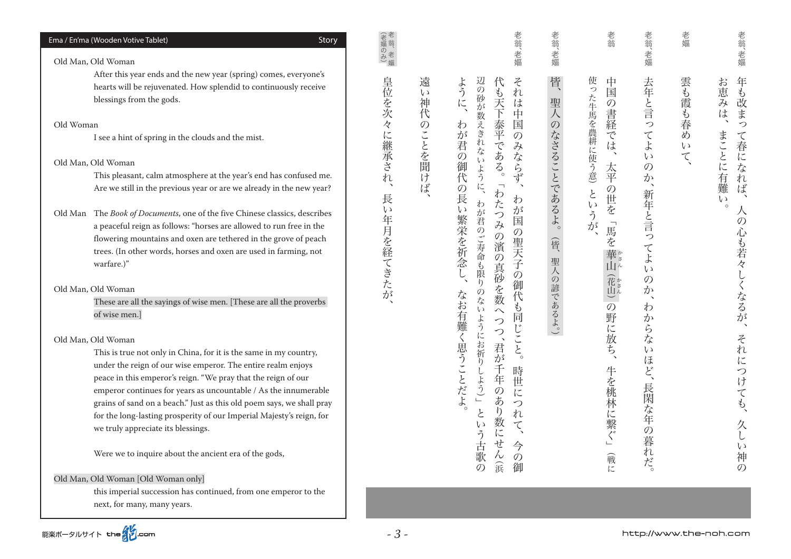| Ema / En'ma (Wooden Votive Tablet)<br>Story<br>Old Man, Old Woman                                                                                                                                                                                                                                                                                                                                                                                                                                                                                                                                                                                                                                                                                                                                                                                                                                                                                                                                                                                                                                                                                                                                                                                                                                                                                                                                                                             |                                                     |                                    | 老翁、老嫗                                                                                                                                                                                                                                                                                                                                                                                                                                                                                                                                                                                                                                                                                       | 老翁、老嫗                                                      | 老翁                                                                                                                                                                              | 老翁、老嫗                                                                                                                                                           | 老嫗                                              | 老翁、老嫗                                                                                                                                                                                                            |
|-----------------------------------------------------------------------------------------------------------------------------------------------------------------------------------------------------------------------------------------------------------------------------------------------------------------------------------------------------------------------------------------------------------------------------------------------------------------------------------------------------------------------------------------------------------------------------------------------------------------------------------------------------------------------------------------------------------------------------------------------------------------------------------------------------------------------------------------------------------------------------------------------------------------------------------------------------------------------------------------------------------------------------------------------------------------------------------------------------------------------------------------------------------------------------------------------------------------------------------------------------------------------------------------------------------------------------------------------------------------------------------------------------------------------------------------------|-----------------------------------------------------|------------------------------------|---------------------------------------------------------------------------------------------------------------------------------------------------------------------------------------------------------------------------------------------------------------------------------------------------------------------------------------------------------------------------------------------------------------------------------------------------------------------------------------------------------------------------------------------------------------------------------------------------------------------------------------------------------------------------------------------|------------------------------------------------------------|---------------------------------------------------------------------------------------------------------------------------------------------------------------------------------|-----------------------------------------------------------------------------------------------------------------------------------------------------------------|-------------------------------------------------|------------------------------------------------------------------------------------------------------------------------------------------------------------------------------------------------------------------|
| After this year ends and the new year (spring) comes, everyone's<br>hearts will be rejuvenated. How splendid to continuously receive<br>blessings from the gods.<br>Old Woman<br>I see a hint of spring in the clouds and the mist.<br>Old Man, Old Woman<br>This pleasant, calm atmosphere at the year's end has confused me.<br>Are we still in the previous year or are we already in the new year?<br>Old Man The Book of Documents, one of the five Chinese classics, describes<br>a peaceful reign as follows: "horses are allowed to run free in the<br>flowering mountains and oxen are tethered in the grove of peach<br>trees. (In other words, horses and oxen are used in farming, not<br>warfare.)"<br>Old Man, Old Woman<br>These are all the sayings of wise men. [These are all the proverbs<br>of wise men.]<br>Old Man, Old Woman<br>This is true not only in China, for it is the same in my country,<br>under the reign of our wise emperor. The entire realm enjoys<br>peace in this emperor's reign. "We pray that the reign of our<br>emperor continues for years as uncountable / As the innumerable<br>grains of sand on a beach." Just as this old poem says, we shall pray<br>for the long-lasting prosperity of our Imperial Majesty's reign, for<br>we truly appreciate its blessings.<br>Were we to inquire about the ancient era of the gods,<br>$\sim$ 1.1 years $\sim$<br>$\sim$ $\sim$ $\sim$ $\sim$ $\sim$ | 皇位を次々に継承され<br>$\lambda$<br>長<br>$\iota$<br>年月を経てきたが | 遠<br>$\epsilon$ y<br>神代<br>のことを聞けば | 辺の砂が数<br>Z<br>ように、<br>:も天下<br>れ<br>は<br>中<br>泰平<br>国<br>わ<br>えきれ<br>が<br>$\mathcal{O}$<br>若<br>$\lambda$<br>である。<br>ない<br>$\mathcal{O}$<br>ふならず<br>御代<br>.ように<br>$\circ$<br>の長<br>わ<br>わ<br>た<br>わ<br>$\zeta$<br>が<br>が<br>つ<br>繁栄を祈念<br>国<br>君のご寿命<br>み<br>の聖天子<br>の濱<br>$\overline{O}$<br>も限<br>真砂を数<br>$\mathcal{O}$<br>$\eta$<br>1御代<br>$\mathcal{O}$<br>なお有難<br>な<br>P<br>$\iota$<br>$\widehat{\phantom{0}}$<br>同じ<br>よう<br>つ<br>$\tilde{\mathcal{L}}$<br>に<br>$\overline{\phantom{a}}$<br>お祈<br>思うことだよ<br>君<br>が<br>$\overline{\xi}$<br>$\mathfrak h$<br>時<br>年<br>こよう)」<br>世<br>$\mathcal{O}$<br>に<br>あ<br>つ<br>$\eta$<br>ع<br>れ<br>数<br>て<br>に<br>せ<br>古<br>ん<br>$\mathcal{O}$<br>滨 | 皆、<br>聖人<br>$\mathcal{O}$<br>なさることであるよ。<br>管<br>聖人の諺であるよ。) | 使<br>中<br>っ<br>国<br>た牛馬を農耕<br>$\mathcal{O}$<br>書経<br>$\tilde{\mathcal{C}}$<br>は<br>に<br>!使う意)<br>太<br>平<br>の<br>と<br>世を<br>いう<br>馬<br>が<br>を<br>山<br>の野に放ち<br>牛<br>を桃林に繋ぐ」<br>戰 | 去年と言っ<br>$\tau$<br>よ<br>$\iota$<br>$\mathcal{O}$<br>か<br>新年と言っ<br>$\tau$<br>よ<br>$\iota$<br>$\mathcal{O}$<br>か<br>わ<br>か<br>ら<br>な<br>L)<br>ほど、<br>長閑<br>な年の暮れだ | 雲<br>「も霞<br>る春<br>d)<br>$\epsilon$ $\sqrt$<br>て | 年も改まっ<br>お<br>こ恵み<br>は<br>まこ<br>て春になれば<br>とに<br>有難<br>$\rightarrow$<br>$\iota$<br>八<br>$\mathcal{O}$<br>心も若々<br>くなるが<br>$\overline{\phantom{a}}$<br>そ<br>れに<br>つけ<br>ても、<br>久<br>$\zeta$ )<br>神<br>$\mathcal{O}$ |

能楽ポータルサイト the 200m

this imperial succession has continued, from one emperor to the

Old Man, Old Woman [Old Woman only]

next, for many, many years.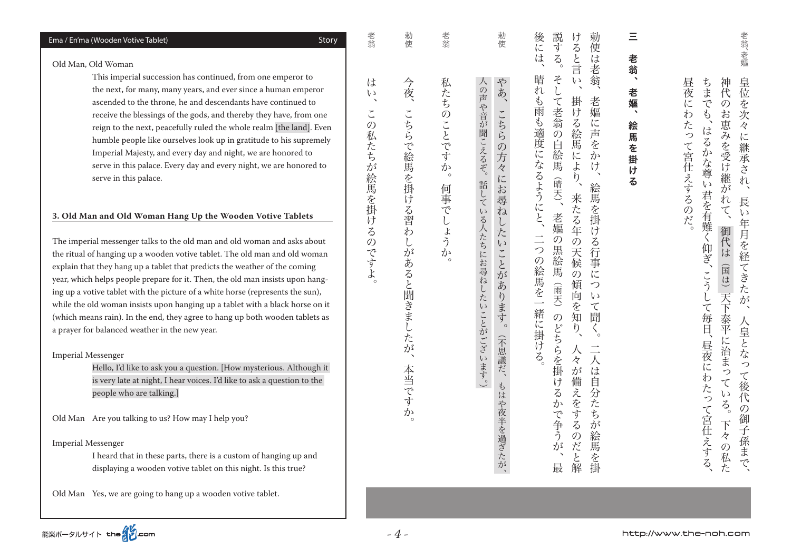#### Ema / En'ma (Wooden Votive Tablet) and the Control of Control of Control of Control of Control of Control of Co

#### Old Man, Old Woman

This imperial succession has continued, from one emperor to the next, for many, many years, and ever since a human emperor ascended to the throne, he and descendants have continued to receive the blessings of the gods, and thereby they have, from one reign to the next, peacefully ruled the whole realm [the land]. Even humble people like ourselves look up in gratitude to his supremely Imperial Majesty, and every day and night, we are honored to serve in this palace. Every day and every night, we are honored to serve in this palace.

#### 3. Old Man and Old Woman Hang Up the Wooden Votive Tablets

The imperial messenger talks to the old man and old woman and asks about the ritual of hanging up a wooden votive tablet. The old man and old woman explain that they hang up a tablet that predicts the weather of the coming year, which helps people prepare for it. Then, the old man insists upon hanging up a votive tablet with the picture of a white horse (represents the sun), while the old woman insists upon hanging up a tablet with a black horse on it (which means rain). In the end, they agree to hang up both wooden tablets as a praver for balanced weather in the new year.

#### Imperial Messenger

Hello, I'd like to ask you a question. [How mysterious. Although it is very late at night, I hear voices. I'd like to ask a question to the people who are talking.

Old Man Are you talking to us? How may I help you?

Imperial Messenger

I heard that in these parts, there is a custom of hanging up and displaying a wooden votive tablet on this night. Is this true?

Old Man Yes, we are going to hang up a wooden votive tablet.

 $\equiv$ 絵馬を掛ける、老嫗、三老翁 老 翁 ₹ 老 嫗 π 絵 馬 を 掛 ゖ  $\overline{z}$ 

説する 後 けると言 勅 汇 。二つの絵馬を一緒に掛ける、晴れも雨も適度になるようにと、後には そして老翁の白絵馬。説する 人々が備えをするのだと解、来たる年の天候の傾向を知り、掛ける絵馬により、けると言い 使 一人は自分には「このような」とは「このような」とは「このような」とは「このような」とは「このような」とは「このような」とは「このような」とは「このような」とは「このような」とは「このような」とは「この は 行 老 晴れ そし 翁  $\omega$ こ<br>老 老  $\mathcal{F}$ 掛 雨 嫗  $\ddot{v}$ 2る絵馬 翁 も適度になるようにと、  $i\zeta$ 吉 の自絵馬 を 『によ  $\bar{\psi}$  $\overline{l}$  $\overline{b}$  $\tilde{\phantom{a}}$ (晴天)、 (「「こうし」の「まなり」の「こうし」の「こうし」の「三郎」の「こうし」の「こうし」の「こうし」の「こうし」の「こうし」の「こうし」の「こうし」の「こうし」の「こうし」の「こうし」の「こうし」の「こう 絵馬 来たる年 一を掛 老嫗  $\ddot{v}$ 二つの絵馬を  $\overline{O}$ る行事  $\overline{\mathcal{O}}$ **)黒絵馬** 天候  $\overline{O}$ 仁 (雨天) 傾 っ 向  $\iota$  $\overline{\phantom{a}}$ ぶ  $\tau$ 緒に掛  $\mathcal{O}$ 知 間  $\sum_{i=1}^{n}$  $\overline{\left\langle \right\rangle }_{\circ}$ どちらを掛  $\ddot{t}$  $\frac{1}{\sqrt{2}}$ 人  $\tilde{z}$  $\overline{\mathcal{R}}$ 人 が は 備 ける 自 え 分  $\sum_{n=1}^{\infty}$ を  $\widetilde{\mathcal{F}}$ 。で争う する ち が 絵  $\mathcal{O}$ ごだと解  $\overline{\Lambda}$ 馬 一を掛 最

勅使 こうしょう きんじょう しゅうかん しゅうかん しゅうかん しゅうかん しゅうかん しゅうかん しゅうかん しゅうかん しゅうかん しゅうかん しゅうかん しゅうかん しゅうかん しゅうかん しゅうかん しゅうかん しゅうかん しゅうかん しゅうかん しゅうかん しゅうかん やあ、 たちに しゅうしゅ しゅうしゅう こちら ありあり こうしゅう こうしゅう こうしゅう こうしゅう こうしゅう こうしゅう こうしゅう こうしゅう こうしゅう こうしゅう こちらの方々にお尋ね したいことがあ **シります。** (不思議だ、 もはや夜半を過ぎたが、

人の声や音が聞こえるぞ。話している人たちにお尋ねしたいことがございます。 ( 。話している人たちにお尋ねしたいことがございます。人の声や音が聞こえるぞ

老翁 。何事でしょうか。老翁私たちのことですか 私たちのことですか 何事でしょうか

。本当ですが、こちらで、こちらで、2000年には、1900年には、1900年には、1900年には、1900年には、1900年には、1900年には、1900年には、1900年には、1900年には、190 箯 今夜、 こちらで絵馬を掛ける習わ しがあると聞きましたが 本当です か

*- 4 -*

は  $\iota$  $\overline{\phantom{a}}$  $\check{\cdot}$  $\mathcal{O}$ 私たちが絵馬を掛 け  $\overline{z}$  $\overline{O}$ 

ンですよ

http://www.the-noh.com

老翁 …この人は、その女性は、そのでは、その女性は、その女性は、その女性は、その女性は、その女性は、その女性は、その女性は、その女性は、その女性は、その女性は、その女性は、

勅

老翁、老嫗

皇位

を

 $\mbox{\AA}$ 

に

"継承

 $\tilde{\chi}$ 

 $\overline{r}$ 

長

i j

年月を経 御代は

いち きょうしゅう こうしゃ しゅうしゅう しゅうしゅう しゅうしゅう しゅうしゅう しゅうしゅう しゅうしゅう しゅうしゅう しゅうしゅう しゅうしゅう しゅうしゅう しゅうしゅう しゅうしゅう しゅうしゅうしゅ

恵みを受け継が

いれて

(国は)

天下

泰平

。昼夜にわたって宮仕えするのだ

たって宮仕えするの

だ。

昼夜 ちま 神代

汇  $\overline{\mathcal{C}}$  $\mathcal{O}$ 

わ

 $\mathcal{L}_{\mathcal{D}}$ お 妄

は

 $\zeta$ 

。かな尊

 $\sqrt{ }$ 

君を有難く仰ぎ、

、人皇とは、長い年月を経てきたが、皇位を次々に継承された。長い年月を経てきたが、皇位を次々に継承された。長い年月を経てきたが、皇位を次々に継承された。長い年月を経てきたが、皇位を次々に継承された。

てきたが

人皇とな

っ

 $\tau$ 

後

 $\overline{O}$ 

御子孫まで

エクトリー アンスト・エム こうしゅう しゅうしゅ アンドリー アンドリー アンドライブ

に治まっ

 $\tau$ 

 $\overline{v}$ 代

 $\frac{1}{2}$ 

 $\overrightarrow{F}$ 

々

、の私た

、そうしては、 こうしては こうして ほうしゃ ちまでも こうしゃ ちょうしゃ ちょうしゃ ちょうしゃ

こう

して毎日

**「昼夜** 

 $\overline{l}$ 

にわたっ

て宮仕えする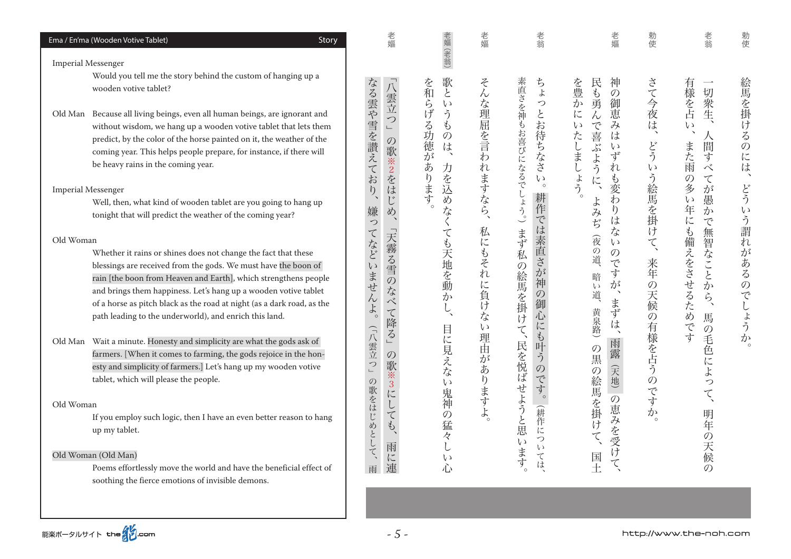Old Woman

# Old Woman (Old Man)

up my tablet.

Poems effortlessly move the world and have the beneficial effect of soothing the fierce emotions of invisible demons.

If you employ such logic, then I have an even better reason to hang

Old Woman Whether it rains or shines does not change the fact that these blessings are received from the gods. We must have the boon of rain [the boon from Heaven and Earth], which strengthens people and brings them happiness. Let's hang up a wooden votive tablet of a horse as pitch black as the road at night (as a dark road, as the path leading to the underworld), and enrich this land.

farmers. [When it comes to farming, the gods rejoice in the honesty and simplicity of farmers. Let's hang up my wooden votive

Old Man Wait a minute. Honesty and simplicity are what the gods ask of

tablet, which will please the people.

Well, then, what kind of wooden tablet are you going to hang up

tonight that will predict the weather of the coming year?

without wisdom, we hang up a wooden votive tablet that lets them predict, by the color of the horse painted on it, the weather of the coming year. This helps people prepare, for instance, if there will be heavy rains in the coming year.

Imperial Messenger

Imperial Messenger

Would vou tell me the story behind the custom of hanging up a wooden votive tablet?

Old Man Because all living beings, even all human beings, are ignorant and

| Ema / En'ma (Wooden Votive Tablet) | Story |
|------------------------------------|-------|

| 老嫗                                                                                                                   | 老嫗(老翁)                                                 | 老嫗                                    | 老翁                                                                                             | 老嫗                                                                                                              | 勅使                                    | 老翁                                                                |
|----------------------------------------------------------------------------------------------------------------------|--------------------------------------------------------|---------------------------------------|------------------------------------------------------------------------------------------------|-----------------------------------------------------------------------------------------------------------------|---------------------------------------|-------------------------------------------------------------------|
| なる雲や雪を讃えており、<br>「八雲立つ」<br>の歌※2をはじめ、<br>嫌ってなどいませんよ。<br>「天霧る雪のなべて降る」<br>(「八雲立つ」<br>の歌※3にしても、<br>の歌をはじめとして、<br>雨に連<br>雨 | 歌というものは、力を込めなくても天地を動かし、目に見えない鬼神の猛々しい心<br>を和らげる功徳があります。 | そんな理屈を言われますなら、<br>私にもそれに負けない理由がありますよ。 | 素直さを神もお喜びになるでしょう。)まず私の絵馬を掛けて、民を悦ばせようと思います。<br>ちょっとお待ちなさい。<br>耕作では素直さが神の御心にも叶うのです。<br>(耕作については、 | 神<br>を豊かにいたしましょう。<br>民も勇んで喜ぶように、よみぢ(夜の道、暗い道、黄泉路)の黒の絵馬を掛けて、<br>の御恵みはいずれも変わりはないのですが、まずは、雨露<br>(天地) の恵みを受けて、<br>国土 | さて今夜は、どういう絵馬を掛けて、<br>来年の天候の有様を占うのですか。 | 有様を占い、また雨の多い年にも備えをさせるためです<br>切衆生、人間すべてが愚かで無智なことから、馬の毛色によって、明年の天候の |

。どういう謂れがあるのでしょうか、勅使絵馬を掛けるのには

どういう謂

れ

があるのでしょうか

勅使

絵馬を掛けるの

に は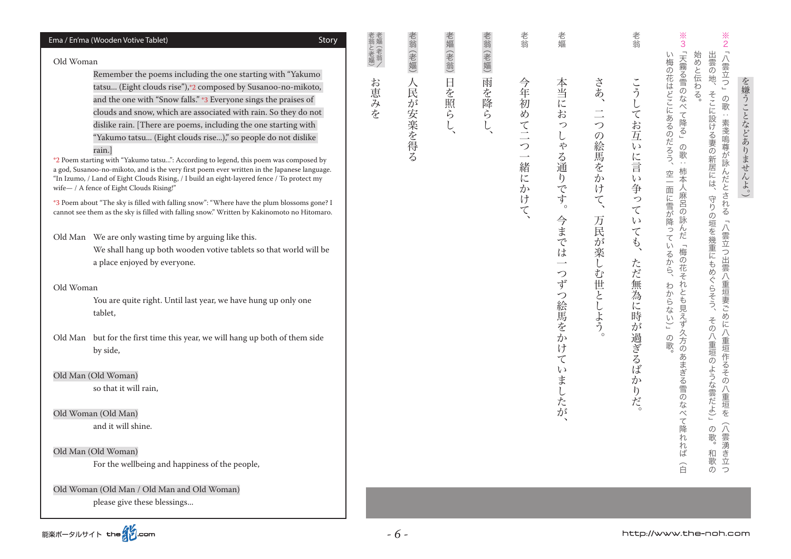#### ※<br>3  $rac{3}{2}$ 老翁と老嫗)<br>老嫗 (老翁/ 老翁 老翁 老翁 (老嫗) 老嫗 (老翁) 老翁 (老嫗) 老嫗 Ema / En'ma (Wooden Votive Tablet) and the Control of Control of Control of Control of Control of Control of Co ) ミニュース ニュー・カメーション - ネット・マン マンス・ライブ - コンピューター - 『大師子』 - ネット・スペース - 南川 - ネットトー さんしゃ スキング・スキング こうしゅう こうしゃ しゅうしゃ しゅうしゃ 、今までは一つずつ絵馬をかけていましたが。老嫗本当におっしゃる通りです 「天霧る雪のなべて降る」の歌:柿本人麻呂の詠んだ「梅の花それとも見えず久方のあまぎる雪のなべて降れれば 「八雲立つ」 い梅の花はどこにあるのだろう、 始めと伝わる。 出雲の地、 白(梅) 白(梅) 白(梅) 白(梅) 白(梅) 白(梅) 石のあまぎる雪のなべて降る雪のなべて降る雪のなべて降る雪のなべて降る雪のなべて降る雪のなべて降る 八雲さつには、「天皇の一重垣の一重垣に入雲される」、「天皇の一重垣の一重垣に入雲される。」、「天皇の一重垣の一重垣に入雲される:の歌」八重垣に入雲される:の歌 Old Woman 。ついているから、これは、これはここにあるのだろうから、これはどこにあるのだろうから、これはどこにあるのだろうから、これはどこにあるのだろうから、これはどこにあるのだろうから、これはどこにあるのだろう  $\ddot{ }$ 和歌の。の歌) 」との歌) というこう こうしゅう こうしゅう こうしゅう こうしゅう こうしゅう こうしゅう こうしゅう こうしゅう こうしゅう こうしゅう こうしゅう こうしゅう こうしゅう こうしゅう こうしゅう Remember the poems including the one starting with "Yakumo" お恵みを 日を照ら 雨を降ら こう 人民が安楽を得 さあ、 今年初めて二つ 本当にお を嫌うことなどありませんよ。) tatsu... (Eight clouds rise"),\*2 composed by Susanoo-no-mikoto, ( 。 。 。ただ無為に時に時に時に時に時には、こうしてお互いに言い事になっていても、こうしてお互いに言い争っていても、こうしてお互いに言い争っていても、こうしてお互いに言い争っていても、こうしてお互いに言い争っ そこに設ける妻の新居には、守りの垣を幾重にもめぐらそう、 の歌:素戔嗚尊が詠んだとされる「八雲立つ出雲八重垣妻ごめに八重垣作るその八重垣を(八雲湧き立 and the one with "Snow falls." \*3 Everyone sings the praises of してお互いに言い  $\frac{1}{2}$ clouds and snow, which are associated with rain. So they do not  $\sim$ dislike rain. [There are poems, including the one starting with  $\mathcal{L}$ の絵馬をかけ "Yakumo tatsu... (Eight clouds rise...)," so people do not dislike  $\tilde{\phi}$ rain.]  $\overline{z}$  $\overline{\phantom{a}}$ る通りです。 \*2 Poem starting with "Yakumo tatsu...": According to legend, this poem was composed by 緒 a god, Susanoo-no-mikoto, and is the very first poem ever written in the Japanese language. 空一面に雪が降っている に "In Izumo, / Land of Eight Clouds Rising, / I build an eight-lavered fence / To protect my い争って にかけて wife- / A fence of Eight Clouds Rising!"  $\widetilde{\zeta}$ \*3 Poem about "The sky is filled with falling snow": "Where have the plum blossoms gone? I cannot see them as the sky is filled with falling snow." Written by Kakinomoto no Hitomaro. 今までは 万民が楽しむ世としよう。  $\overline{v}$ こても、 Old Man We are only wasting time by arguing like this. We shall hang up both wooden votive tablets so that world will be ただ無為に時が過ぎるば るか<br>ら、 a place enjoyed by everyone.  $\overline{\phantom{0}}$  $\mathcal{L}$ ずつ絵馬をか わからない)」 Old Woman You are quite right. Until last year, we have hung up only one ,tablet その八重垣のような雲だよ)」  $\varphi$ Old Man but for the first time this vear, we will hang up both of them side 歌 け by side.  $\tilde{\tau}$  $\iota$ Old Man (Old Woman)  $\overline{D}$  $\ddagger$ ぶしたが ら<br>だ so that it will rain, Old Woman (Old Man) and it will shine.  $\sigma$ 歌。 Old Man (Old Woman) 和歌の For the wellbeing and happiness of the people, 合 う Old Woman (Old Man / Old Man and Old Woman) please give these blessings...

*- 6 -*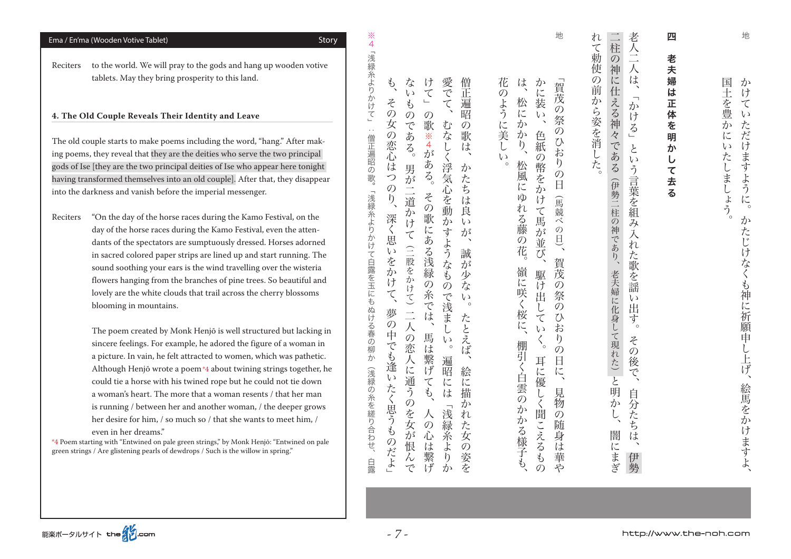| blet)<br>Story                                                                                                                                                                                                                                                                                                                                                                                                                                                                                                                                                                                                                                                                                                                                                                                                                                                                                                                                                                                                                                                                                                                                                                                               | 4                                                                                                                                                                                                                                                                                                                                                                                                                                                                                                                                                                                                                                                                                                                                                                                                                                                                                                                                                                                                                                                                                                                                                                                                                                                                                                                                                                                                                                                                                                                                                                                                                                                                               |
|--------------------------------------------------------------------------------------------------------------------------------------------------------------------------------------------------------------------------------------------------------------------------------------------------------------------------------------------------------------------------------------------------------------------------------------------------------------------------------------------------------------------------------------------------------------------------------------------------------------------------------------------------------------------------------------------------------------------------------------------------------------------------------------------------------------------------------------------------------------------------------------------------------------------------------------------------------------------------------------------------------------------------------------------------------------------------------------------------------------------------------------------------------------------------------------------------------------|---------------------------------------------------------------------------------------------------------------------------------------------------------------------------------------------------------------------------------------------------------------------------------------------------------------------------------------------------------------------------------------------------------------------------------------------------------------------------------------------------------------------------------------------------------------------------------------------------------------------------------------------------------------------------------------------------------------------------------------------------------------------------------------------------------------------------------------------------------------------------------------------------------------------------------------------------------------------------------------------------------------------------------------------------------------------------------------------------------------------------------------------------------------------------------------------------------------------------------------------------------------------------------------------------------------------------------------------------------------------------------------------------------------------------------------------------------------------------------------------------------------------------------------------------------------------------------------------------------------------------------------------------------------------------------|
| will pray to the gods and hang up wooden votive<br>bring prosperity to this land.                                                                                                                                                                                                                                                                                                                                                                                                                                                                                                                                                                                                                                                                                                                                                                                                                                                                                                                                                                                                                                                                                                                            | 「浅緑糸よりかけ<br>花<br>な<br>愛<br>け<br>僧<br>は<br>$\hat{\varphi}'$<br>か<br>賀茂<br>$\widehat{C}$<br>に<br>正<br>$\epsilon$ $\sqrt$<br>の                                                                                                                                                                                                                                                                                                                                                                                                                                                                                                                                                                                                                                                                                                                                                                                                                                                                                                                                                                                                                                                                                                                                                                                                                                                                                                                                                                                                                                                                                                                                                     |
| s Their Identity and Leave<br>e poems including the word, "hang." After mak-<br>hey are the deities who serve the two principal<br>principal deities of Ise who appear here tonight<br>ves into an old couple]. After that, they disappear<br>before the imperial messenger.<br>e horse races during the Kamo Festival, on the<br>aces during the Kamo Festival, even the atten-<br>tators are sumptuously dressed. Horses adorned<br>paper strips are lined up and start running. The<br>our ears is the wind travelling over the wisteria<br>rom the branches of pine trees. So beautiful and<br>ite clouds that trail across the cherry blossoms<br>ntains.<br>d by Monk Henjō is well structured but lacking in<br>For example, he adored the figure of a woman in<br>he felt attracted to women, which was pathetic.<br>wrote a poem*4 about twining strings together, he<br>with his twined rope but he could not tie down<br>The more that a woman resents / that her man<br>een her and another woman, / the deeper grows<br>n, / so much so / that she wants to meet him, /<br>ns."<br>on pale green strings," by Monk Henjō: "Entwined on pale<br>rls of dewdrops / Such is the willow in spring." | $\sum_{i=1}^{n}$<br>よう<br>$\overline{\zeta}$<br>松<br>装<br>Z<br>$\mathfrak{F}$<br>遍<br>の祭<br>昭<br>に<br>の<br>$\overline{\zeta}$<br>$\epsilon$ )<br>$\mathcal{O}$<br>$\mathcal{O}$<br>女<br>か<br>に<br>で<br>歌<br>む<br>$\mathcal{O}$<br>$\mathcal{O}$<br>г,<br>美<br>か<br>の恋心<br>歌<br>あ<br>な<br>色<br>※4が<br>僧正<br>$\gamma$<br>紙<br>$\overline{\mathcal{L}}_{\circ}$<br>$\sqrt{2}$<br>L<br>L<br>は<br>お<br> 遍昭の<br>$\zeta$<br>$\epsilon$<br>の幣をか<br>$\mathfrak h$<br>ある。<br>ほ<br>松<br>浮気心<br>男が二道<br>か<br>の<br>日<br>風<br>歌。<br>つ<br>た<br>に<br>$\mathcal{O}$<br>ち<br>「浅緑糸より<br>$\zeta$<br>$\widetilde{\rho}$<br>KD<br>け<br>を動<br>は<br>(馬競)<br>$\mathcal{O}$<br>れ<br>て馬<br>良<br>か<br>歌<br>深<br>る藤<br>べのコ<br>か<br>$\epsilon y$<br>けて<br>く思<br>にある浅緑<br>すようなも<br>が<br>が<br>ふけ<br>$\frac{1}{2}$<br>の<br>並<br>$\supseteq$<br>花<br>$\epsilon$ $\sqrt$<br>誠<br>び<br>て白露を玉にもぬける春の<br>を<br>股を<br>賀茂<br>が<br>嶺<br>か<br>駆<br>少<br>かけて) 二人<br>け<br>に<br>の糸では、<br>$\mathcal{O}$<br>な<br>け<br>$\mathcal{O}$<br>Ź<br>咲<br>祭<br>出<br>で浅<br>L)<br>$\zeta$<br>$\circ$<br>$\mathcal{O}$<br>L<br>夢の<br>桜<br>$\alpha$<br>ま<br>$\tau$<br>たとえば<br>に、<br>お<br>$\overline{L}$<br>$\epsilon$<br>中<br>の恋人に<br>馬<br>$\boldsymbol{\zeta}_{_{\mathrm{o}}}$<br>$\mathfrak{h}$<br>$\epsilon$<br>棚<br>でも逢い<br>$\circ$<br>は<br>$\overline{O}$<br>柳<br>引く白雲の<br>$\overline{D}$<br>:繋げ<br>日<br>耳に<br>遍<br>(浅緑の糸を縒り合わせ、<br>に、<br>昭<br>絵<br>通うのを女が<br>$\tau$<br>優<br>に<br>に<br>たく思うも<br>$\tilde{f}$<br>は<br>描<br>見<br>しく聞こえるもの<br>物<br>か<br>か<br>浅<br>$\mathcal{O}$<br>人<br>れ<br>かる様子も<br>緑<br>随<br>$\mathcal{O}$<br>た<br>糸よ<br>心<br>身は華や<br>女<br>のだよ」<br>恨<br>は<br>$\mathcal{O}$<br>繋げ<br>姿を<br>$\mathfrak h$<br>んで<br>白露<br>か |
|                                                                                                                                                                                                                                                                                                                                                                                                                                                                                                                                                                                                                                                                                                                                                                                                                                                                                                                                                                                                                                                                                                                                                                                                              |                                                                                                                                                                                                                                                                                                                                                                                                                                                                                                                                                                                                                                                                                                                                                                                                                                                                                                                                                                                                                                                                                                                                                                                                                                                                                                                                                                                                                                                                                                                                                                                                                                                                                 |

 $\frac{3}{4}$ 

Reciters to the world. We will pray to the gods and hang up wooden votive tablets. May they

Story) Ema / En'ma (Wooden Votive Tablet) and the Control of Control of Control of Control of Control of Control of Control of Control of Control of Control of Control of Control of Control of Control of Control of Control

#### **4. The Old Couple Reveal**

The old couple starts to mak ing poems, they reveal that t gods of Ise [they are the two having transformed themsel into the darkness and vanish

Reciters "On the day of the day of the horse ra dants of the spect in sacred colored sound soothing y flowers hanging f lovely are the whi blooming in mou

> The poem create sincere feelings. F a picture. In vain, Although Henjō v could tie a horse a woman's heart. is running / betw her desire for him

even in her drean

\*4 Poem starting with "Entwined green strings / Are glistening pearls 老夫婦は正体を 明 か  $\cup$ て去る

四老夫婦は正体を明かして去る

四

地

 $\mathcal{D}^{\mathcal{A}}$ 

 $\tilde{v}$ 

 $\overline{\tau}$ 

 $\iota$ 

**ただけ** 

。

 $\overline{v}$ 

たしましょう ますように。

国土を豊かに

、 かいじけなく かいしょう かけていただけ かけていただけ かけていただけ かけていただけ かけてい かけていただけ かけていただけ かけていただけ かけていただけ

かたじけなくも神に祈願申し上げ、

絵馬をかけますよ、

二柱の神に仕える神々 老人二人は、 れて勅使の前から姿を消した。 。また、 おおや はいこう こうしゃ こうしゃ こうしゃ こうしゃ こうしゃ こうしゃ こうしゃ アクセス かんしゅう こうしゃ アクセス かんしゃ アクセス 『ヌーキング』 キャンプ マン・キャング きょうしょう こうこうこう こうこうこう しょうこうしょう しょうしょう 伊勢、自分たちは、その後で。という言葉を組み入れた歌を謡い出す」かける、 「老人二人は  $\overline{\phantom{a}}$ ゕ゙ いる」 である(伊勢二柱の神であり、老夫婦に化身して現れた)と明か という言葉を組み入 れた歌を謡  $\overline{v}$ 由 す。 その後で、 自分たちは、  $\tilde{L}$ 闇に こまぎ 伊勢

地

能楽ポータルサイト the Som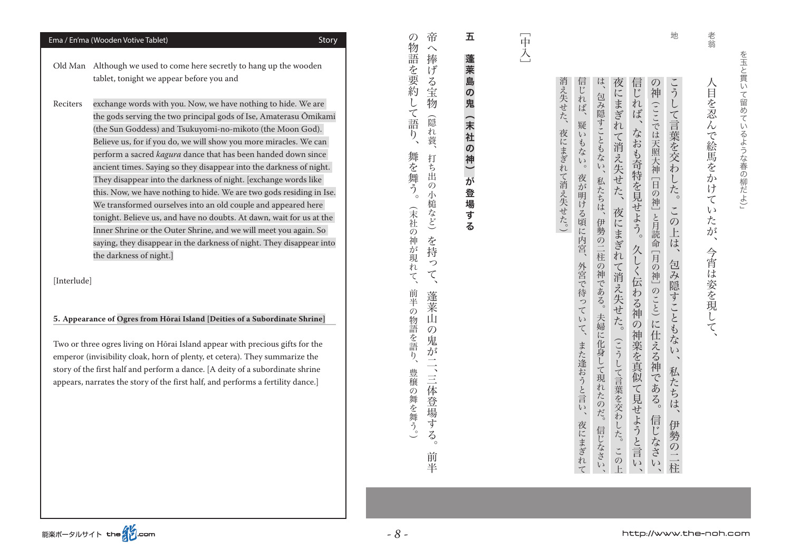老翁 - 今宵は、今宵は、それに、それに、 こうしゃ かけい かいしゃ かいしょう <目を忍んで絵馬をかけ てい た が ` ، 今宵は姿を現して

地

こうし は、 消え失せた、夜にまぎれて消え失せた。) 信じれば、疑いもない。 夜にまぎれて消え失せた、夜にまぎれて消え失せた。(こうして言葉を交わした。このト 信じれば、なおも奇特を見せよう。久しく伝わる神の神楽を真似て見せようと言い の神(ここでは天照大神 [日の神] と月読命 [月の神] のこと) に仕 える神 である。 夜にまぎれて、また逢おうと言い、外宮で待っていて、夜が明ける頃に内宮。疑いもない、信じれば 、その他には、その他には、その他には、その他には、その他には、その他には、 その他には、 その他には、 その他には、 その他には、 その他には、 その他には、 その他には、 その他には、 その他には、 その他には、 その 。その後、夜にまぎれて、夜にまぎれて、夜にまぎれて、夜にまぎれて、夜にまぎれて、夜にまぎれて、夜にまぎれて、夜にまぎれて、夜にまぎれて、夜にまぎれて、夜にまぎれて くちく ふくしゃ こうしょう こうしょう こうしょう こうしょう こうしょう こうしょう こうしょう こうしょう こうしょう こうしょう こうしょう こうしょう の神 伊勢の二柱、私たちは、包み隠すこともない、この上は。こうして言葉を交わした 包み隠すこともない、 (1) 日には、日の神である神である神である神である。ことは天照の神である。 月の神 [1] 月の神 て言葉を交わ 夜が明ける頃に内宮、 した。この上は、包み隠すこともない 私たちは、 伊勢の二柱の神である。 外宮で待っていて、また逢おうと言い、 夫婦に化身して現れたのだ。 私たちは、 信じなさい 伊勢の二柱 夜にまぎれて 信じなさい

日本人  $\vdots$ 

( 。夜にまぎれて消え失せた、消え失せた

## 五 蓬莱島の鬼(末社の神)が が登場する)末社の神(蓬莱島の鬼 登場す  $\overline{\mathbf{z}}$

帝  $\mathcal{O}$ 物 - 『三体堂』は、 『本の学者の 『三体堂』の「三体堂」、 『三体堂』、 『三体堂』、 『三体堂』、 『三体堂』、 『三体堂』、 『三体堂』、 『三体堂』、 『三体堂』、 『三体堂』、 『三体堂』、 『三体堂』、 『三体堂』、 『三体堂』、 『三体堂』、 『三体堂』、 『三体堂』、 『三体堂』、 『三体堂』、 『三体堂』、 『三体堂』、 『三体堂』、 『三体堂』、 『三体堂』、 『三体堂』、 『三体堂』、 『三体堂』、 『三体堂』、 『三  $\sim$ 語を要約 捧 ゙ゖ゙ >る宝物 L 隐 心れ蓑、  $\ddot{\eta}$ 打 ら 由  $\mathcal{D}$ 小槌など) を持 っ  $\zeta$ 蓬莱  $\mathbf{\dot{\mathsf{\Pi}}}$  $\mathcal{O}$ 鬼 が二、三体 豊穣の舞を舞う。) 平登場す  $\mathcal{L}_{\infty}$ 前 半

(『漢字書』『『三世』『『漢字』『三本』『三世』『三十三、『漢字』『三本学』『三十三、『三本』『三本』『三本、『三本』『三本、『三本』『三本、『三本』『三本、『三本』『三本、『三本』『三本、『三本』『 こて語 舞を舞  $\widetilde{\mathcal{L}}_{\mathcal{L}}$ (末社の神が現 れて、 前半の物語を語り、

Ema / En'ma (Wooden Votive Tablet) and the Control of Control of Control of Control of Control of Control of Co

Old Man Although we used to come here secretly to hang up the wooden tablet, tonight we appear before you and

Reciters exchange words with you. Now, we have nothing to hide. We are the gods serving the two principal gods of Ise, Amaterasu Ōmikami (the Sun Goddess) and Tsukuyomi-no-mikoto (the Moon God). Believe us, for if you do, we will show you more miracles. We can perform a sacred *kagura* dance that has been handed down since ancient times. Saving so they disappear into the darkness of night. They disappear into the darkness of night. Jexchange words like this. Now, we have nothing to hide. We are two gods residing in Ise. We transformed ourselves into an old couple and appeared here tonight. Believe us, and have no doubts. At dawn, wait for us at the Inner Shrine or the Outer Shrine, and we will meet vou again. So saying, they disappear in the darkness of night. They disappear into the darkness of night.]

[Interlude]

**5. Appearance of Ogres from Hōrai Island [Deities of a Subordinate Shrine]** 

Two or three ogres living on Hōrai Island appear with precious gifts for the emperor (invisibility cloak, horn of plenty, et cetera). They summarize the story of the first half and perform a dance. [A deity of a subordinate shrine appears, narrates the story of the first half, and performs a fertility dance.]

能楽ポータルサイト the インcom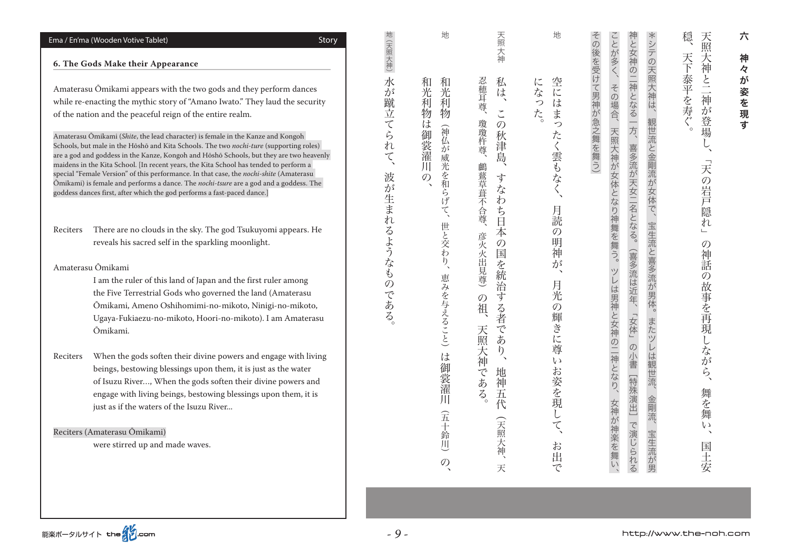#### Ema / En'ma (Wooden Votive Tablet) and the Control of Control of Control of Control of Control of Control of Co

#### **6. The Gods Make their Appearance**

Amaterasu Ōmikami appears with the two gods and they perform dances while re-enacting the mythic story of "Amano Iwato." They laud the security of the nation and the peaceful reign of the entire realm.

Amaterasu Ōmikami (Shite, the lead character) is female in the Kanze and Kongoh Schools, but male in the Hōshō and Kita Schools. The two nochi-ture (supporting roles) are a god and goddess in the Kanze, Kongoh and Hōshō Schools, but they are two heavenly maidens in the Kita School. IIn recent vears, the Kita School has tended to perform a special "Female Version" of this performance. In that case, the nochi-shite (Amaterasu Ömikami) is female and performs a dance. The *nochi-tsure* are a god and a goddess. The goddess dances first, after which the god performs a fast-paced dance.]

Reciters There are no clouds in the sky. The god Tsukuyomi appears. He reveals his sacred self in the sparkling moonlight.

Ōmikami Amaterasu

I am the ruler of this land of Japan and the first ruler among the Five Terrestrial Gods who governed the land (Amaterasu Ōmikami, Ameno Oshihomimi-no-mikoto, Ninigi-no-mikoto, Ugaya-Fukiaezu-no-mikoto, Hoori-no-mikoto). I am Amaterasu .Ōmikami

Reciters When the gods soften their divine powers and engage with living beings, bestowing blessings upon them, it is just as the water of Isuzu River..., When the gods soften their divine powers and engage with living beings, bestowing blessings upon them, it is iust as if the waters of the Isuzu River...

Reciters (Amaterasu Ōmikami)

were stirred up and made waves.

| 地                                                                                     | 天照大神                                                                                                           | 地                                                          |                   |                                                                                                                       |                                                                         | 穏                                                                      |
|---------------------------------------------------------------------------------------|----------------------------------------------------------------------------------------------------------------|------------------------------------------------------------|-------------------|-----------------------------------------------------------------------------------------------------------------------|-------------------------------------------------------------------------|------------------------------------------------------------------------|
|                                                                                       |                                                                                                                |                                                            |                   | ことが多く、                                                                                                                |                                                                         |                                                                        |
| 和光利物<br>和光利物は御裳濯川の、<br>(神仏が威光を和らげて、世と交わり、恵みを与えること)は御[裳濯川]<br>(五十鈴川)<br>$\overline{O}$ | 忍穂耳尊、<br>私は、<br>この秋津島、<br>瓊瓊杵尊、<br>鸕鶿草葺不合尊、彦火火出見尊)の祖、<br>すなわち日本の国を統治する者であり、<br>天照大神である。<br>地神五代<br>(天照大神、<br>天 | 空にはまったく雲もなく、<br>になった。<br>月読の明神が、<br>月光の輝きに尊いお姿を現して、<br>お出で | その後を受けて男神が急之舞を舞う) | 神と女神の二神となる一方、<br>その場合、<br>天照大神が女体となり神舞を舞う。<br>喜多流が天女二名となる。(喜多流は近年、「女体」の小書[特殊演出]で演じられる<br>ツレは男神と女神の二神となり、<br>女神が神楽を舞い、 | *シテの天照大神は、<br>観世流と金剛流が女体で、<br>宝生流と喜多流が男体。<br>またツレは観世流、<br>金剛流、<br>宝生流が男 | 天照大神と二神が登場し、<br>天下泰平を寿ぐ。<br>「天の岩戸隠れ」<br>の神話の故事を再現しながら、<br>舞を舞い、<br>国土安 |

六神々が姿を現す 神 々 が 姿を現 के

六

。 「水の地域」とは、水が出てるようなものである。 こうしょう インディア しょうしょう

波が生まれるようなものである

 $\overline{\zeta}$ 

地(天照大神)

水が蹴立てられ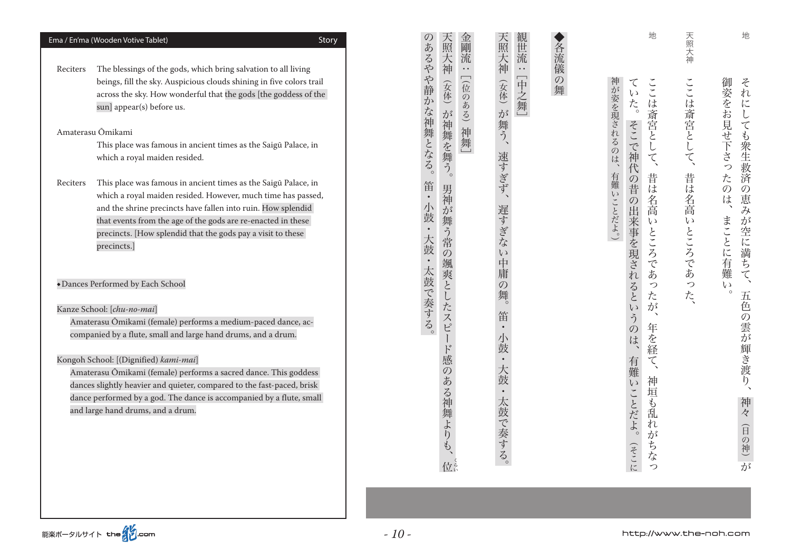| Ema / En'ma (Wooden Votive Tablet)<br>Story                                                                                                                                                                                                                                                                                                              | 天照大神<br>金<br>剛<br>あ<br>流                                                   | 観世流<br>天照大神<br>各流儀                               | 地                                                                                  | 地<br>天照大神                                                                                      |
|----------------------------------------------------------------------------------------------------------------------------------------------------------------------------------------------------------------------------------------------------------------------------------------------------------------------------------------------------------|----------------------------------------------------------------------------|--------------------------------------------------|------------------------------------------------------------------------------------|------------------------------------------------------------------------------------------------|
| The blessings of the gods, which bring salvation to all living<br>Reciters<br>beings, fill the sky. Auspicious clouds shining in five colors trail<br>across the sky. How wonderful that the gods [the goddess of the<br>sun] appear(s) before us.                                                                                                       | るやや静<br>$\ddotsc$<br>(女体)<br>仓<br>$\overline{\varphi}$<br>か<br>ある)<br>が    | $\ddot{\phantom{1}}$<br>[中之舞]<br>の舞<br>(女体) が舞う、 | ここは斎宮とし<br>て<br>$\epsilon$ $\sqrt$<br>$\mathcal{F}_{\zeta}$                        | 御姿をお見せ下                                                                                        |
| Amaterasu Ōmikami<br>This place was famous in ancient times as the Saigū Palace, in<br>which a royal maiden resided.                                                                                                                                                                                                                                     | な神舞となる。<br>神舞を舞う。<br>神舞                                                    | 速すぎず、                                            | が姿を現されるのは<br>そこで神<br>$\tau$<br>$\blacktriangledown$<br>代                           | ここは斎宮として、<br>それにしても衆生救済<br>为<br><br>っ                                                          |
| This place was famous in ancient times as the Saigū Palace, in<br>Reciters<br>which a royal maiden resided. However, much time has passed,<br>and the shrine precincts have fallen into ruin. How splendid<br>that events from the age of the gods are re-enacted in these<br>precincts. [How splendid that the gods pay a visit to these<br>precincts.] | 笛<br>男神<br>$\bullet$<br>が舞う常<br>鼓<br>$\bullet$<br>大鼓<br>$\mathcal{O}$<br>颯 | 遅すぎな<br>$\iota$<br>中                             | 昔<br>有難い<br>の昔<br>は名高<br>$\mathcal{O}$<br>ことだよ。)<br>出来事を現され<br>$\epsilon$<br>ところであ | 昔は名高<br>た<br>$\mathcal{O}$<br>$\overline{O}$<br>)恵みが<br>は、<br>まこ<br>いところであっ<br>空に満ちて、<br>ことに有意 |
| • Dances Performed by Each School<br>Kanze School: [chu-no-mai]                                                                                                                                                                                                                                                                                          | 太鼓で奏する。<br>爽とした                                                            | $\mathcal{O}$                                    | $\overline{z}$<br>ると<br>た<br>が<br>$\zeta$                                          | 難<br>$\iota$<br>た、<br>$\circ$<br>五色                                                            |
| Amaterasu Ōmikami (female) performs a medium-paced dance, ac-<br>companied by a flute, small and large hand drums, and a drum.                                                                                                                                                                                                                           | $\lambda$<br>ピ<br>$\mathcal{F}$                                            | 笛<br>$\bullet$                                   | $\boldsymbol{\gamma}$<br>$\tilde{2}$<br>年を経<br>$\mathcal{O}$<br>は                  |                                                                                                |
| Kongoh School: [(Dignified) kami-mai]<br>Amaterasu Ōmikami (female) performs a sacred dance. This goddess<br>dances slightly heavier and quieter, compared to the fast-paced, brisk<br>dance performed by a god. The dance is accompanied by a flute, small<br>and large hand drums, and a drum.                                                         | の<br>あ<br>る神<br>舞よりも、<br>位ま                                                | $\bullet$<br>太鼓で奏する。                             | J<br>有難<br>神<br>いことだよ。<br>垣<br>も乱<br>れ<br>が<br>ちな<br>(そこに<br>っ                     | の雲が輝き渡り、<br>神々 (日の神) が                                                                         |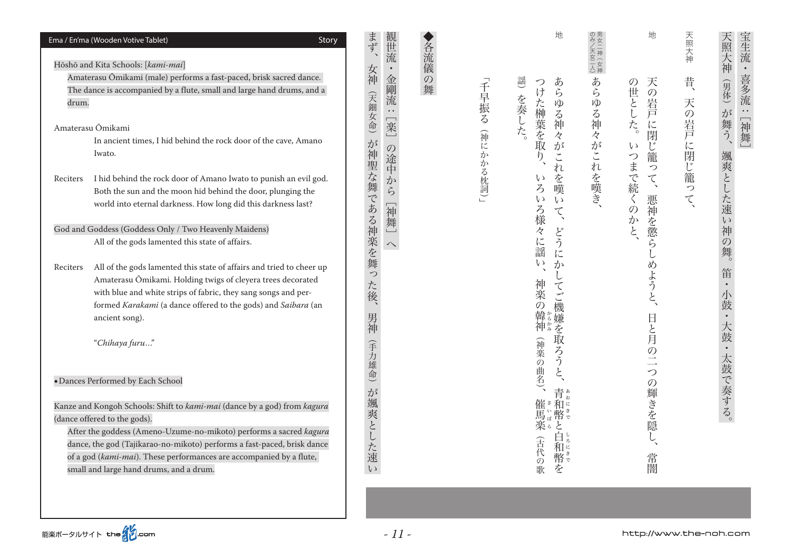| Ema / En'ma (Wooden Votive Tablet)<br>Story<br>Hōshō and Kita Schools: [kami-mai]                                                                                                                                                                                                                                                                                           | まず                     | 丗<br>流                                                |          | 地                                                                         | 二女神         | 地                                                                       | 天照大神       | 宝生流<br>天照大                                                 |
|-----------------------------------------------------------------------------------------------------------------------------------------------------------------------------------------------------------------------------------------------------------------------------------------------------------------------------------------------------------------------------|------------------------|-------------------------------------------------------|----------|---------------------------------------------------------------------------|-------------|-------------------------------------------------------------------------|------------|------------------------------------------------------------|
| Amaterasu Ōmikami (male) performs a fast-paced, brisk sacred dance.<br>The dance is accompanied by a flute, small and large hand drums, and a<br>drum.                                                                                                                                                                                                                      | 女神<br>(天)              | 金剛<br>$\mathcal{O}$<br>舞<br>流<br>$\ddot{\phantom{0}}$ | 千早振る     | 證<br>あ<br>つけた榊葉を取<br>ら<br>を奏した。<br>ゆる神                                    | あ           | 天<br>の<br>世とし<br>(の岩戸                                                   | 昔、<br>天の岩戸 | 神<br>$\bullet$<br>喜多流<br>(男体)<br>$\ddot{\phantom{0}}$<br>が |
| Amaterasu Ōmikami<br>In ancient times, I hid behind the rock door of the cave, Amano<br>Iwato.                                                                                                                                                                                                                                                                              | 女命)<br>が               | [楽<br>の途中                                             | 稱        | 々<br>が<br>$\eta$<br>$\check{\phantom{a}}$<br>れ                            | らゆる神々がこれを嘆き | した。<br>$\overline{\mathfrak{l}}$<br>閉<br>じ籠<br>$\zeta$<br>$\mathcal{L}$ |            | [神舞]<br>*舞う、                                               |
| I hid behind the rock door of Amano Iwato to punish an evil god.<br>Reciters<br>Both the sun and the moon hid behind the door, plunging the<br>world into eternal darkness. How long did this darkness last?                                                                                                                                                                | 神聖な舞である神楽を舞            | か<br>ら<br>幂                                           | にかかる枕詞)」 | を嘆<br>r 1<br>$\zeta$<br>$\zeta$ )<br>$\iota$<br>ろ様<br>$\boldsymbol{\tau}$ |             | つまで続くの<br>$\tau$<br>$\Delta$                                            | に閉じ籠って     | 爽とした速<br>$\overline{c}$                                    |
| God and Goddess (Goddess Only / Two Heavenly Maidens)<br>All of the gods lamented this state of affairs.                                                                                                                                                                                                                                                                    |                        | 舞<br>$\curvearrowright$                               |          | 々<br>ど<br>に謡<br>う<br>に                                                    |             | 悪神を懲ら<br>かと                                                             |            | 神の                                                         |
| All of the gods lamented this state of affairs and tried to cheer up<br>Reciters<br>Amaterasu Ōmikami. Holding twigs of cleyera trees decorated<br>with blue and white strips of fabric, they sang songs and per-<br>formed Karakami (a dance offered to the gods) and Saibara (an<br>ancient song).                                                                        | (った後、<br>男神            |                                                       |          | $\iota$<br>か<br>神楽<br>てご<br>{の韓神神<br>)機嫌を                                 |             | めようと                                                                    |            | 笛<br>鼓<br>大鼓                                               |
| "Chihaya furu"<br>+Dances Performed by Each School                                                                                                                                                                                                                                                                                                                          | (手力雄,<br>命             |                                                       |          | <b> 取ろう</b><br>(神楽の曲名)、<br>$\zeta$                                        |             | 日と月の二<br>っ<br>$\mathcal{O}$                                             |            |                                                            |
| Kanze and Kongoh Schools: Shift to kami-mai (dance by a god) from kagura<br>(dance offered to the gods).<br>After the goddess (Ameno-Uzume-no-mikoto) performs a sacred kagura<br>dance, the god (Tajikarao-no-mikoto) performs a fast-paced, brisk dance<br>of a god (kami-mai). These performances are accompanied by a flute,<br>small and large hand drums, and a drum. | が<br>颯爽とした速<br>$\iota$ |                                                       |          | 青ぁ<br>催き和こ<br> 馬楽。<br>と<br>白<br>(古代の歌<br>和<br>幣。<br>を                     |             | 輝きを隠<br>常<br>闇                                                          |            | 太鼓で奏する。                                                    |
|                                                                                                                                                                                                                                                                                                                                                                             |                        |                                                       |          |                                                                           |             |                                                                         |            |                                                            |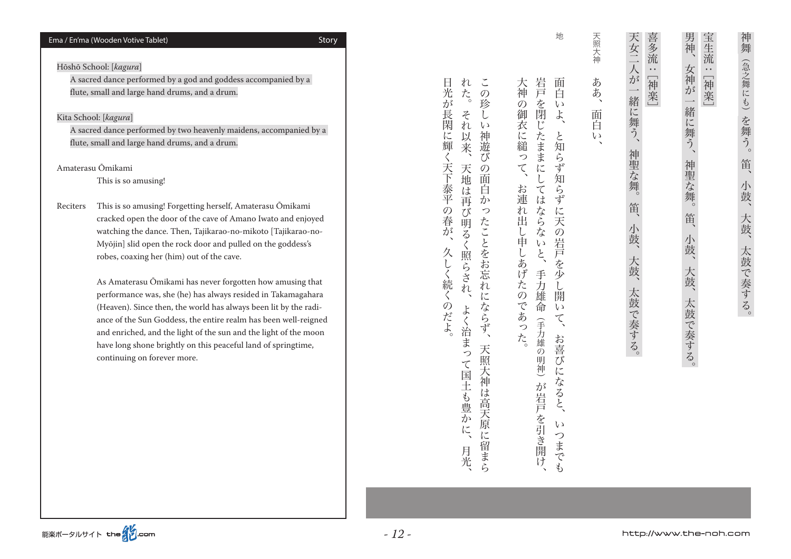#### Story) Ema / En'ma (Wooden Votive Tablet) and the Control of Control of Control of Control of Control of Control of Control of Control of Control of Control of Control of Control of Control of Control of Control of Control

### Hōshō School: [*kagura*]

A sacred dance performed by a god and goddess accompanied by a flute, small and large hand drums, and a drum.

#### Kita School: [*kagura*]

A sacred dance performed by two heavenly maidens, accompanied by a flute, small and large hand drums, and a drum.

Ōmikami Amaterasu

This is so amusing!

Reciters This is so amusing! Forgetting herself, Amaterasu Ōmikami cracked open the door of the cave of Amano Iwato and enjoyed Myōjin] slid open the rock door and pulled on the goddess's watching the dance. Then, Tajikarao-no-mikoto [Tajikarao-norobes, coaxing her (him) out of the cave.

> As Amaterasu Ōmikami has never forgotten how amusing that performance was, she (he) has always resided in Takamagahara (Heaven). Since then, the world has always been lit by the radiance of the Sun Goddess, the entire realm has been well-reigned and enriched, and the light of the sun and the light of the moon have long shone brightly on this peaceful land of springtime, continuing on forever more.

地

こうしょう こうしょう

天照大神

ああ、

、面白い、ああ

面白

 $\iota$ 

岩戸 大神 面 。おは、それは、大神の御衣に殺された。<br>「お連れ出し申したのであった。それは、大神の御衣に殺されたのであった。<br>「お連れ出し申したのであった。 手力雄命、岩戸を閉じたままにしてはならないと 百 いちまでも、おきびになると、というようと、というように天の岩戸を少し開いて、面白いように天の岩戸を少し開いて、面白いように天の岩戸を少し開いて、面白いように天の岩戸を少し開いて、面白いように天の岩戸を少し開いて、  $\ddot{\circ}$ を閉じたままにしては  $\iota$ 御衣に縋って、  $\frac{1}{2}$ と知 ~らず知 ~らず お<br>連 はならな れ出し申しあげたのであった。 に天の岩戸 こいと、手力雄命 んを少 し開  $\iota$  $\zeta$ (手力雄の ・・・・・・ 引き入れ スキュン・リー・コード 一日 コー お喜び ·明神) に になると、 が岩戸 を引き開け  $\mathcal{U}$ っ までも

n  $\tilde{\phantom{a}}$ た。 、月光、天地は再び明るく照らされ、それ以来。それは再び明るく照らされ、それ以来。それは再び明るく照らされ、それ以来。 天照大神は高天原に開発している。この歌しの面白かったことをおとえるようにならず、この歌しの面白かったことをおとえるようにならず、この歌しの面白かったことをお言われにならず、この歌しの面白かったことをお  $\mathcal{O}$ 珍  $z$  $\iota$  $\overline{n}$  $\iota$ 神遊 以 关  $\overline{C}$ 天地は  $\mathcal{O}$ 面 白 一再<br>び  $\overline{D}$ っ 5明るく たことをお忘れ 照らされ 汇 ならず、 よく治まっ 天照大神 て国土も豊かに、 は高天原に 留まら 月光

。久しく続くのだよ、日光が長閑に輝く天下泰平の春が

久しく続くのだよ

日光が長閑に輝く天下泰平の春が

- スカラン - スカラン - スカラン - スカラン - スカラン - スカラン - スカラン - スカラン - スカラン - スカラン - スカラン - スカラン - スカラン - スカラン - スカラン - スカラン

笛、

小鼓、

一大鼓、

太鼓で奏する。

神舞(急之舞にも)を舞う。

[神楽[:宝生流

宝生流:[神楽]

男神、

女神が一緒に舞う、

かんじゅつ スター・シー スター・シー スター・シー スター・シー スター・シー スター・シー スター・シー スター・シー スター・シー スター・シー スター・シー

笛、

小鼓、大鼓、太鼓で奏する。

神聖な舞。

**一** 

喜多流

[神楽[:

"一神楽」

。大鼓である。大鼓である。大鼓の こうしゅう こうしゅう こうしゅう こうしゅう こうしゅう こうしゅう こうしゅう こうしゅう こうしゅう こうしゅう こうしゅう

小鼓、

大鼓、太鼓で奏する。

天女二人が一緒に舞う、神聖な舞。笛、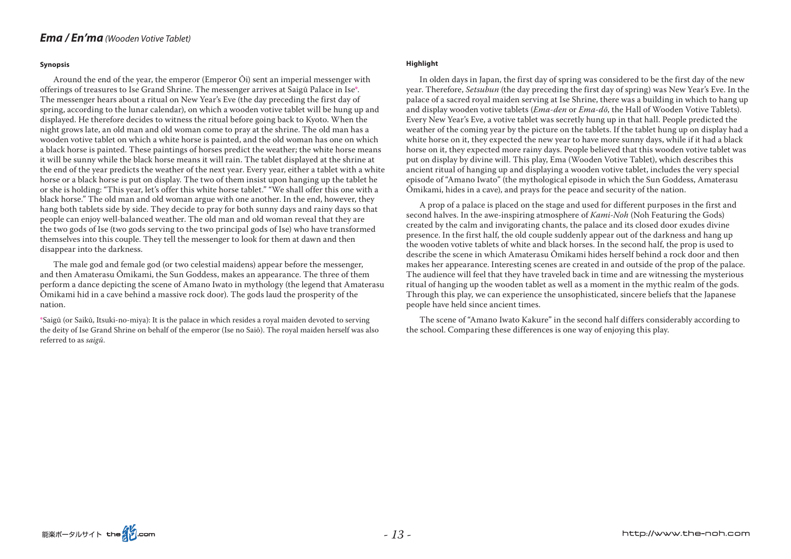#### **Synopsis**

Around the end of the year, the emperor (Emperor Qi) sent an imperial messenger with offerings of treasures to Ise Grand Shrine. The messenger arrives at Saigū Palace in Ise<sup>\*</sup>. The messenger hears about a ritual on New Year's Eve (the day preceding the first day of spring, according to the lunar calendar), on which a wooden votive tablet will be hung up and displayed. He therefore decides to witness the ritual before going back to Kyoto. When the night grows late, an old man and old woman come to pray at the shrine. The old man has a wooden votive tablet on which a white horse is painted, and the old woman has one on which a black horse is painted. These paintings of horses predict the weather; the white horse means it will be sunny while the black horse means it will rain. The tablet displayed at the shrine at the end of the year predicts the weather of the next year. Every year, either a tablet with a white horse or a black horse is put on display. The two of them insist upon hanging up the tablet he or she is holding: "This year, let's offer this white horse tablet." "We shall offer this one with a black horse." The old man and old woman argue with one another. In the end, however, they hang both tablets side by side. They decide to pray for both sunny days and rainy days so that people can enjoy well-balanced weather. The old man and old woman reveal that they are the two gods of Ise (two gods serving to the two principal gods of Ise) who have transformed them selves into this couple. They tell the messenger to look for them at dawn and then disappear into the darkness.

The male god and female god (or two celestial maidens) appear before the messenger, and then Amaterasu Ōmikami, the Sun Goddess, makes an appearance. The three of them perform a dance depicting the scene of Amano Iwato in mythology (the legend that Amaterasu Omikami hid in a cave behind a massive rock door). The gods laud the prosperity of the .nation

\*Saigū (or Saikū, Itsuki-no-miya): It is the palace in which resides a royal maiden devoted to serving the deity of Ise Grand Shrine on behalf of the emperor (Ise no Saiō). The royal maiden herself was also referred to as saigū.

#### **Highlight**

In olden days in Japan, the first day of spring was considered to be the first day of the new year. Therefore, *Setsubun* (the day preceding the first day of spring) was New Year's Eve. In the palace of a sacred royal maiden serving at Ise Shrine, there was a building in which to hang up and display wooden votive tablets *(Ema-den or Ema-dō*, the Hall of Wooden Votive Tablets). Every New Year's Eve, a votive tablet was secretly hung up in that hall. People predicted the weather of the coming year by the picture on the tablets. If the tablet hung up on display had a white horse on it, they expected the new year to have more sunny days, while if it had a black horse on it, they expected more rainy days. People believed that this wooden votive tablet was put on display by divine will. This play, Ema (Wooden Votive Tablet), which describes this ancient ritual of hanging up and displaying a wooden votive tablet, includes the very special episode of "Amano Iwato" (the mythological episode in which the Sun Goddess, Amaterasu Omikami, hides in a cave), and prays for the peace and security of the nation.

A prop of a palace is placed on the stage and used for different purposes in the first and second halves. In the awe-inspiring atmosphere of *Kami-Noh* (Noh Featuring the Gods)  $\alpha$  created by the calm and invigorating chants, the palace and its closed door exudes divine presence. In the first half, the old couple suddenly appear out of the darkness and hang up the wooden votive tablets of white and black horses. In the second half, the prop is used to describe the scene in which Amaterasu Ōmikami hides herself behind a rock door and then makes her appearance. Interesting scenes are created in and outside of the prop of the palace. The audience will feel that they have traveled back in time and are witnessing the mysterious ritual of hanging up the wooden tablet as well as a moment in the mythic realm of the gods. Through this play, we can experience the unsophisticated, sincere beliefs that the Japanese people have held since ancient times.

The scene of "Amano Iwato Kakure" in the second half differs considerably according to the school. Comparing these differences is one way of enjoying this play.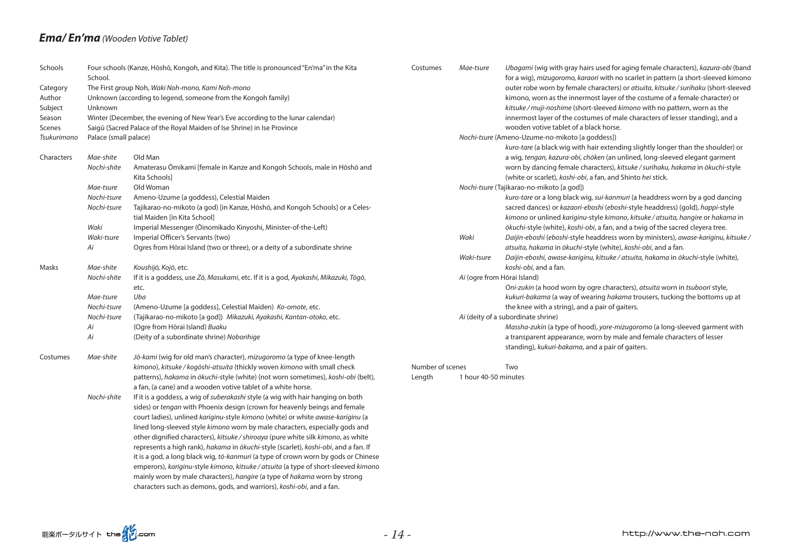### *Ema/En'ma* (*Wooden Votive Tablet*)

| Schools     | School.               | Four schools (Kanze, Hōshō, Kongoh, and Kita). The title is pronounced "En'ma" in the Kita | Costumes         | Mae-tsure                   | Ubagami (wig with gray hairs used for aging female characters), kazura-obi (band<br>for a wig), mizugoromo, karaori with no scarlet in pattern (a short-sleeved kimono |
|-------------|-----------------------|--------------------------------------------------------------------------------------------|------------------|-----------------------------|------------------------------------------------------------------------------------------------------------------------------------------------------------------------|
| Category    |                       | The First group Noh, Waki Noh-mono, Kami Noh-mono                                          |                  |                             | outer robe worn by female characters) or atsuita, kitsuke / surihaku (short-sleeved                                                                                    |
| Author      |                       | Unknown (according to legend, someone from the Kongoh family)                              |                  |                             | kimono, worn as the innermost layer of the costume of a female character) or                                                                                           |
| Subject     | Unknown               |                                                                                            |                  |                             | kitsuke / muji-noshime (short-sleeved kimono with no pattern, worn as the                                                                                              |
| Season      |                       | Winter (December, the evening of New Year's Eve according to the lunar calendar)           |                  |                             | innermost layer of the costumes of male characters of lesser standing), and a                                                                                          |
| Scenes      |                       | Saigū (Sacred Palace of the Royal Maiden of Ise Shrine) in Ise Province                    |                  |                             | wooden votive tablet of a black horse.                                                                                                                                 |
| Tsukurimono | Palace (small palace) |                                                                                            |                  |                             | Nochi-tsure (Ameno-Uzume-no-mikoto [a goddess])                                                                                                                        |
|             |                       |                                                                                            |                  |                             | kuro-tare (a black wig with hair extending slightly longer than the shoulder) or                                                                                       |
| Characters  | Mae-shite             | Old Man                                                                                    |                  |                             | a wig, tengan, kazura-obi, chōken (an unlined, long-sleeved elegant garment                                                                                            |
|             | Nochi-shite           |                                                                                            |                  |                             |                                                                                                                                                                        |
|             |                       | Amaterasu Ömikami [female in Kanze and Kongoh Schools, male in Höshö and                   |                  |                             | worn by dancing female characters), kitsuke / surihaku, hakama in ōkuchi-style                                                                                         |
|             |                       | Kita Schools]                                                                              |                  |                             | (white or scarlet), koshi-obi, a fan, and Shinto hei stick.                                                                                                            |
|             | Mae-tsure             | Old Woman                                                                                  |                  |                             | Nochi-tsure (Tajikarao-no-mikoto [a god])                                                                                                                              |
|             | Nochi-tsure           | Ameno-Uzume (a goddess), Celestial Maiden                                                  |                  |                             | kuro-tare or a long black wig, sui-kanmuri (a headdress worn by a god dancing                                                                                          |
|             | Nochi-tsure           | Tajikarao-no-mikoto (a god) [in Kanze, Hōshō, and Kongoh Schools] or a Celes-              |                  |                             | sacred dances) or kazaori-eboshi (eboshi-style headdress) (gold), happi-style                                                                                          |
|             |                       | tial Maiden [in Kita School]                                                               |                  |                             | kimono or unlined kariginu-style kimono, kitsuke / atsuita, hangire or hakama in                                                                                       |
|             | Waki                  | Imperial Messenger (Öinomikado Kinyoshi, Minister-of-the-Left)                             |                  |                             | ōkuchi-style (white), koshi-obi, a fan, and a twig of the sacred cleyera tree.                                                                                         |
|             | Waki-tsure            | Imperial Officer's Servants (two)                                                          |                  | Waki                        | Daijin-eboshi (eboshi-style headdress worn by ministers), awase-kariginu, kitsuke /                                                                                    |
|             | Аi                    | Ogres from Hōrai Island (two or three), or a deity of a subordinate shrine                 |                  |                             | atsuita, hakama in ōkuchi-style (white), koshi-obi, and a fan.                                                                                                         |
|             |                       |                                                                                            |                  | Waki-tsure                  | Daijin-eboshi, awase-kariginu, kitsuke / atsuita, hakama in ōkuchi-style (white),                                                                                      |
| Masks       | Mae-shite             | Koushijō, Kojō, etc.                                                                       |                  |                             | koshi-obi, and a fan.                                                                                                                                                  |
|             | Nochi-shite           | If it is a goddess, use Zō, Masukami, etc. If it is a god, Ayakashi, Mikazuki, Tōgō,       |                  | Ai (ogre from Hōrai Island) |                                                                                                                                                                        |
|             |                       | etc.                                                                                       |                  |                             | Oni-zukin (a hood worn by ogre characters), atsuita worn in tsuboori style,                                                                                            |
|             | Mae-tsure             | Uba                                                                                        |                  |                             | kukuri-bakama (a way of wearing hakama trousers, tucking the bottoms up at                                                                                             |
|             | Nochi-tsure           | (Ameno-Uzume [a goddess], Celestial Maiden) Ko-omote, etc.                                 |                  |                             | the knee with a string), and a pair of gaiters.                                                                                                                        |
|             | Nochi-tsure           | (Tajikarao-no-mikoto [a god]) Mikazuki, Ayakashi, Kantan-otoko, etc.                       |                  |                             | Ai (deity of a subordinate shrine)                                                                                                                                     |
|             | Аi                    | (Ogre from Hōrai Island) Buaku                                                             |                  |                             | Massha-zukin (a type of hood), yore-mizugoromo (a long-sleeved garment with                                                                                            |
|             | Аi                    | (Deity of a subordinate shrine) Noborihige                                                 |                  |                             | a transparent appearance, worn by male and female characters of lesser                                                                                                 |
|             |                       |                                                                                            |                  |                             | standing), kukuri-bakama, and a pair of gaiters.                                                                                                                       |
| Costumes    | Mae-shite             | Jō-kami (wig for old man's character), mizugoromo (a type of knee-length                   |                  |                             |                                                                                                                                                                        |
|             |                       | kimono), kitsuke / kogōshi-atsuita (thickly woven kimono with small check                  | Number of scenes |                             | Two                                                                                                                                                                    |
|             |                       | patterns), hakama in ōkuchi-style (white) (not worn sometimes), koshi-obi (belt),          | Length           | 1 hour 40-50 minutes        |                                                                                                                                                                        |
|             |                       | a fan, (a cane) and a wooden votive tablet of a white horse.                               |                  |                             |                                                                                                                                                                        |
|             | Nochi-shite           | If it is a goddess, a wig of suberakashi style (a wig with hair hanging on both            |                  |                             |                                                                                                                                                                        |
|             |                       | sides) or tengan with Phoenix design (crown for heavenly beings and female                 |                  |                             |                                                                                                                                                                        |
|             |                       | court ladies), unlined kariginu-style kimono (white) or white awase-kariginu (a            |                  |                             |                                                                                                                                                                        |
|             |                       | lined long-sleeved style kimono worn by male characters, especially gods and               |                  |                             |                                                                                                                                                                        |
|             |                       | other dignified characters), kitsuke / shiroaya (pure white silk kimono, as white          |                  |                             |                                                                                                                                                                        |
|             |                       | represents a high rank), hakama in ōkuchi-style (scarlet), koshi-obi, and a fan. If        |                  |                             |                                                                                                                                                                        |
|             |                       | it is a god, a long black wig, tō-kanmuri (a type of crown worn by gods or Chinese         |                  |                             |                                                                                                                                                                        |
|             |                       | emperors), kariginu-style kimono, kitsuke / atsuita (a type of short-sleeved kimono        |                  |                             |                                                                                                                                                                        |
|             |                       | mainly worn by male characters), hangire (a type of hakama worn by strong                  |                  |                             |                                                                                                                                                                        |
|             |                       |                                                                                            |                  |                             |                                                                                                                                                                        |
|             |                       | characters such as demons, gods, and warriors), koshi-obi, and a fan.                      |                  |                             |                                                                                                                                                                        |

能楽ポータルサイト the 22.com